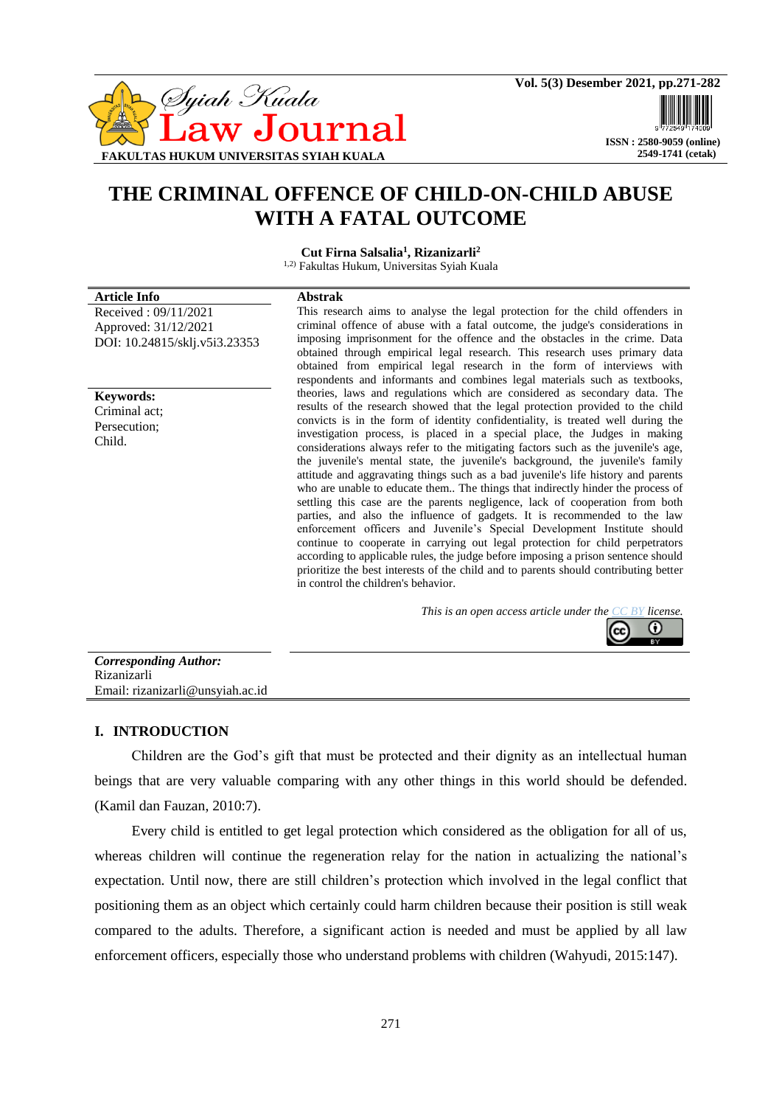

# **THE CRIMINAL OFFENCE OF CHILD-ON-CHILD ABUSE WITH A FATAL OUTCOME**

**Cut Firna Salsalia<sup>1</sup> , Rizanizarli<sup>2</sup>**

1,2) Fakultas Hukum, Universitas Syiah Kuala

#### **Article Info Abstrak** Received : 09/11/2021

**Keywords:** Criminal act; Persecution; Child.

Approved: 31/12/2021

DOI: 10.24815/sklj.v5i3.23353

This research aims to analyse the legal protection for the child offenders in criminal offence of abuse with a fatal outcome, the judge's considerations in imposing imprisonment for the offence and the obstacles in the crime. Data obtained through empirical legal research. This research uses primary data obtained from empirical legal research in the form of interviews with respondents and informants and combines legal materials such as textbooks, theories, laws and regulations which are considered as secondary data. The results of the research showed that the legal protection provided to the child convicts is in the form of identity confidentiality, is treated well during the investigation process, is placed in a special place, the Judges in making considerations always refer to the mitigating factors such as the juvenile's age, the juvenile's mental state, the juvenile's background, the juvenile's family attitude and aggravating things such as a bad juvenile's life history and parents who are unable to educate them.. The things that indirectly hinder the process of settling this case are the parents negligence, lack of cooperation from both parties, and also the influence of gadgets. It is recommended to the law enforcement officers and Juvenile's Special Development Institute should continue to cooperate in carrying out legal protection for child perpetrators according to applicable rules, the judge before imposing a prison sentence should prioritize the best interests of the child and to parents should contributing better in control the children's behavior.

*This is an open access article under the [CC BY](https://creativecommons.org/licenses/by/4.0/) license.*

| <b>Corresponding Author:</b>     |  |
|----------------------------------|--|
| Rizanizarli                      |  |
| Email: rizanizarli@unsyiah.ac.id |  |

### **I. INTRODUCTION**

Children are the God's gift that must be protected and their dignity as an intellectual human beings that are very valuable comparing with any other things in this world should be defended. (Kamil dan Fauzan, 2010:7).

Every child is entitled to get legal protection which considered as the obligation for all of us, whereas children will continue the regeneration relay for the nation in actualizing the national's expectation. Until now, there are still children's protection which involved in the legal conflict that positioning them as an object which certainly could harm children because their position is still weak compared to the adults. Therefore, a significant action is needed and must be applied by all law enforcement officers, especially those who understand problems with children (Wahyudi, 2015:147).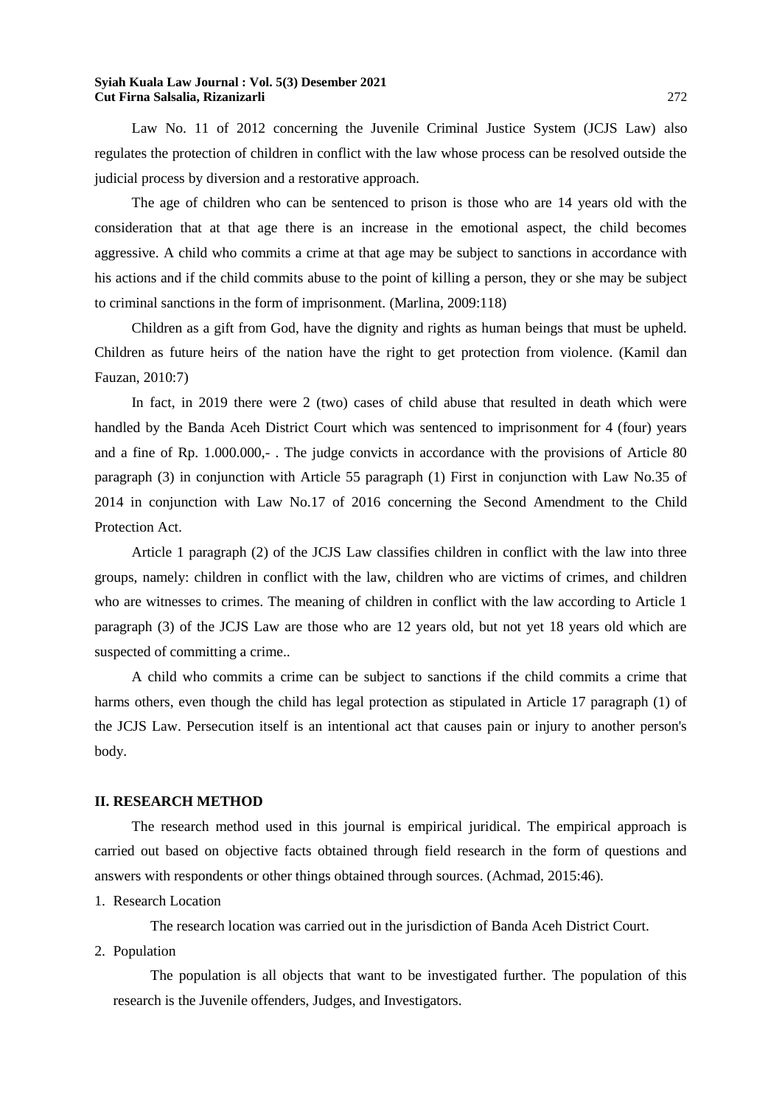Law No. 11 of 2012 concerning the Juvenile Criminal Justice System (JCJS Law) also regulates the protection of children in conflict with the law whose process can be resolved outside the judicial process by diversion and a restorative approach.

The age of children who can be sentenced to prison is those who are 14 years old with the consideration that at that age there is an increase in the emotional aspect, the child becomes aggressive. A child who commits a crime at that age may be subject to sanctions in accordance with his actions and if the child commits abuse to the point of killing a person, they or she may be subject to criminal sanctions in the form of imprisonment. (Marlina, 2009:118)

Children as a gift from God, have the dignity and rights as human beings that must be upheld. Children as future heirs of the nation have the right to get protection from violence. (Kamil dan Fauzan, 2010:7)

In fact, in 2019 there were 2 (two) cases of child abuse that resulted in death which were handled by the Banda Aceh District Court which was sentenced to imprisonment for 4 (four) years and a fine of Rp. 1.000.000,- . The judge convicts in accordance with the provisions of Article 80 paragraph (3) in conjunction with Article 55 paragraph (1) First in conjunction with Law No.35 of 2014 in conjunction with Law No.17 of 2016 concerning the Second Amendment to the Child Protection Act.

Article 1 paragraph (2) of the JCJS Law classifies children in conflict with the law into three groups, namely: children in conflict with the law, children who are victims of crimes, and children who are witnesses to crimes. The meaning of children in conflict with the law according to Article 1 paragraph (3) of the JCJS Law are those who are 12 years old, but not yet 18 years old which are suspected of committing a crime..

A child who commits a crime can be subject to sanctions if the child commits a crime that harms others, even though the child has legal protection as stipulated in Article 17 paragraph (1) of the JCJS Law. Persecution itself is an intentional act that causes pain or injury to another person's body.

### **II. RESEARCH METHOD**

The research method used in this journal is empirical juridical. The empirical approach is carried out based on objective facts obtained through field research in the form of questions and answers with respondents or other things obtained through sources. (Achmad, 2015:46).

1. Research Location

The research location was carried out in the jurisdiction of Banda Aceh District Court.

2. Population

The population is all objects that want to be investigated further. The population of this research is the Juvenile offenders, Judges, and Investigators.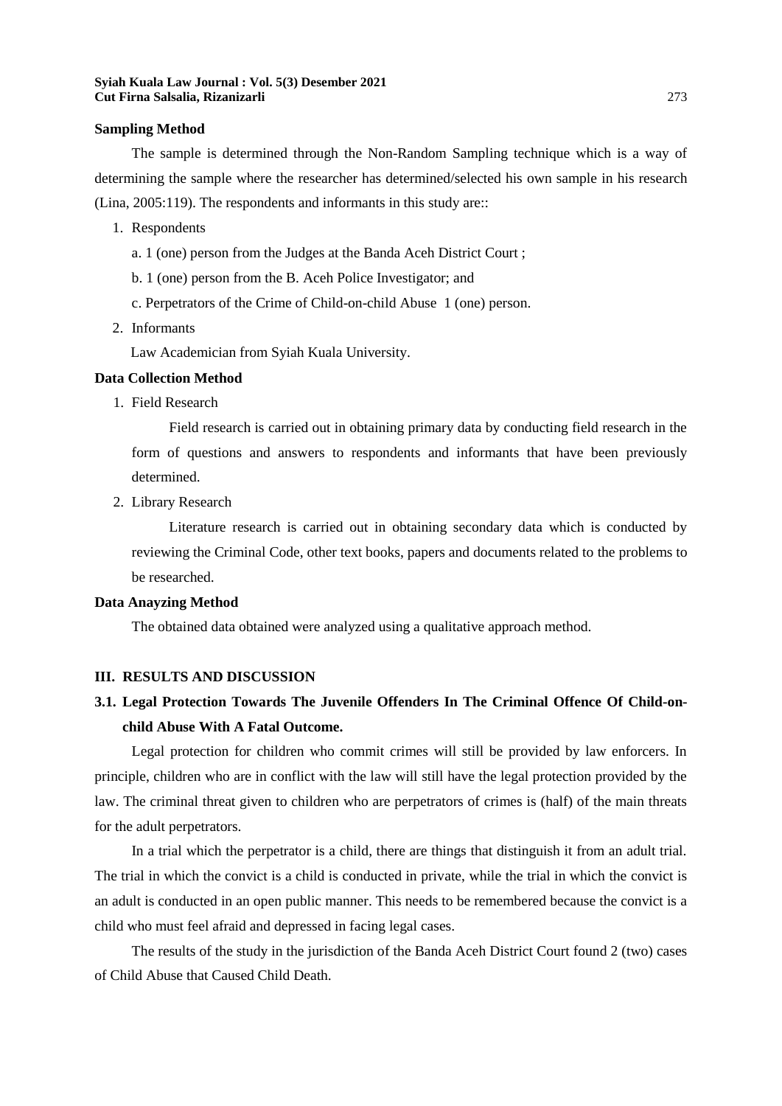#### **Sampling Method**

The sample is determined through the Non-Random Sampling technique which is a way of determining the sample where the researcher has determined/selected his own sample in his research (Lina, 2005:119). The respondents and informants in this study are::

- 1. Respondents
	- a. 1 (one) person from the Judges at the Banda Aceh District Court ;
	- b. 1 (one) person from the B. Aceh Police Investigator; and
	- c. Perpetrators of the Crime of Child-on-child Abuse 1 (one) person.
- 2. Informants

Law Academician from Syiah Kuala University.

### **Data Collection Method**

1. Field Research

Field research is carried out in obtaining primary data by conducting field research in the form of questions and answers to respondents and informants that have been previously determined.

2. Library Research

Literature research is carried out in obtaining secondary data which is conducted by reviewing the Criminal Code, other text books, papers and documents related to the problems to be researched.

### **Data Anayzing Method**

The obtained data obtained were analyzed using a qualitative approach method.

### **III. RESULTS AND DISCUSSION**

## **3.1. Legal Protection Towards The Juvenile Offenders In The Criminal Offence Of Child-onchild Abuse With A Fatal Outcome.**

Legal protection for children who commit crimes will still be provided by law enforcers. In principle, children who are in conflict with the law will still have the legal protection provided by the law. The criminal threat given to children who are perpetrators of crimes is (half) of the main threats for the adult perpetrators.

In a trial which the perpetrator is a child, there are things that distinguish it from an adult trial. The trial in which the convict is a child is conducted in private, while the trial in which the convict is an adult is conducted in an open public manner. This needs to be remembered because the convict is a child who must feel afraid and depressed in facing legal cases.

The results of the study in the jurisdiction of the Banda Aceh District Court found 2 (two) cases of Child Abuse that Caused Child Death.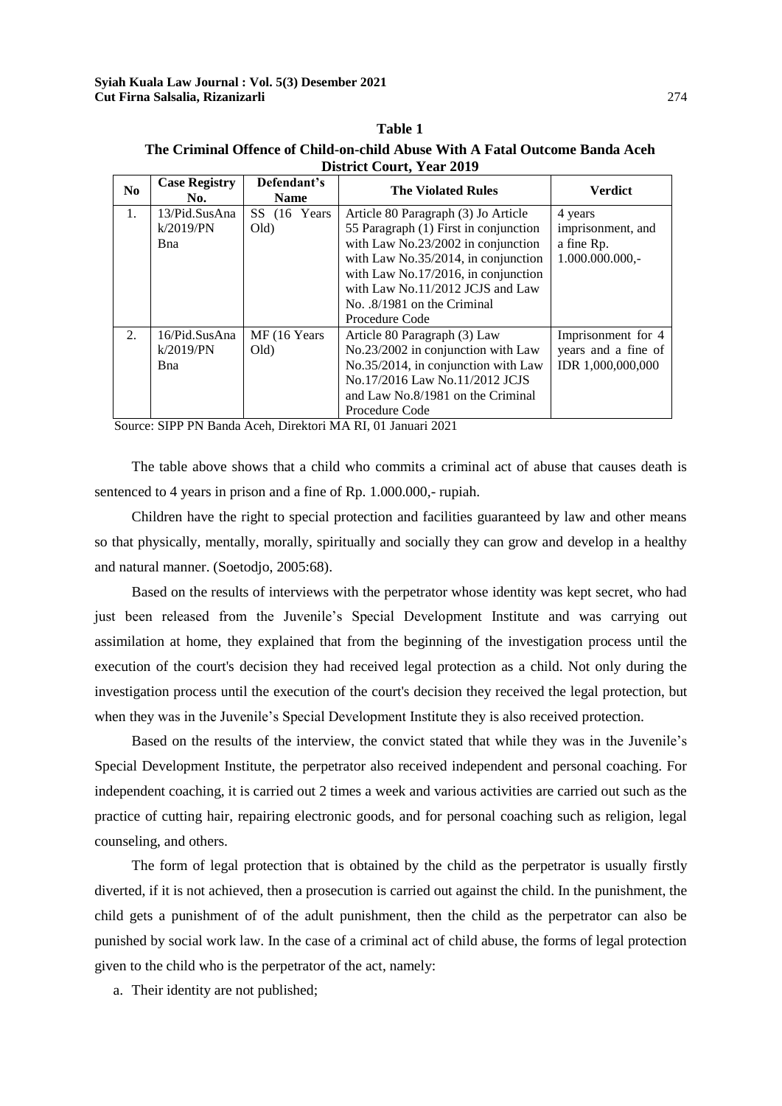### **The Criminal Offence of Child-on-child Abuse With A Fatal Outcome Banda Aceh District Court, Year 2019**

**Table 1**

| N <sub>0</sub> | <b>Case Registry</b><br>No.               | Defendant's<br><b>Name</b> | <b>The Violated Rules</b>                                                                                                                                                                                                                                                               | <b>Verdict</b>                                                  |
|----------------|-------------------------------------------|----------------------------|-----------------------------------------------------------------------------------------------------------------------------------------------------------------------------------------------------------------------------------------------------------------------------------------|-----------------------------------------------------------------|
| 1.             | 13/Pid.SusAna<br>k/2019/PN<br><b>B</b> na | SS (16 Years)<br>Old)      | Article 80 Paragraph (3) Jo Article<br>55 Paragraph (1) First in conjunction<br>with Law No.23/2002 in conjunction<br>with Law No.35/2014, in conjunction<br>with Law No.17/2016, in conjunction<br>with Law No.11/2012 JCJS and Law<br>No. $.8/1981$ on the Criminal<br>Procedure Code | 4 years<br>imprisonment, and<br>a fine Rp.<br>$1.000.000.000,-$ |
| 2.             | 16/Pid.SusAna<br>k/2019/PN<br><b>B</b> na | MF (16 Years)<br>Old)      | Article 80 Paragraph (3) Law<br>No.23/2002 in conjunction with Law<br>No.35/2014, in conjunction with Law<br>No.17/2016 Law No.11/2012 JCJS<br>and Law No.8/1981 on the Criminal<br>Procedure Code                                                                                      | Imprisonment for 4<br>years and a fine of<br>IDR 1,000,000,000  |

Source: SIPP PN Banda Aceh, Direktori MA RI, 01 Januari 2021

The table above shows that a child who commits a criminal act of abuse that causes death is sentenced to 4 years in prison and a fine of Rp. 1.000.000,- rupiah.

Children have the right to special protection and facilities guaranteed by law and other means so that physically, mentally, morally, spiritually and socially they can grow and develop in a healthy and natural manner. (Soetodjo, 2005:68).

Based on the results of interviews with the perpetrator whose identity was kept secret, who had just been released from the Juvenile's Special Development Institute and was carrying out assimilation at home, they explained that from the beginning of the investigation process until the execution of the court's decision they had received legal protection as a child. Not only during the investigation process until the execution of the court's decision they received the legal protection, but when they was in the Juvenile's Special Development Institute they is also received protection.

Based on the results of the interview, the convict stated that while they was in the Juvenile's Special Development Institute, the perpetrator also received independent and personal coaching. For independent coaching, it is carried out 2 times a week and various activities are carried out such as the practice of cutting hair, repairing electronic goods, and for personal coaching such as religion, legal counseling, and others.

The form of legal protection that is obtained by the child as the perpetrator is usually firstly diverted, if it is not achieved, then a prosecution is carried out against the child. In the punishment, the child gets a punishment of of the adult punishment, then the child as the perpetrator can also be punished by social work law. In the case of a criminal act of child abuse, the forms of legal protection given to the child who is the perpetrator of the act, namely:

a. Their identity are not published;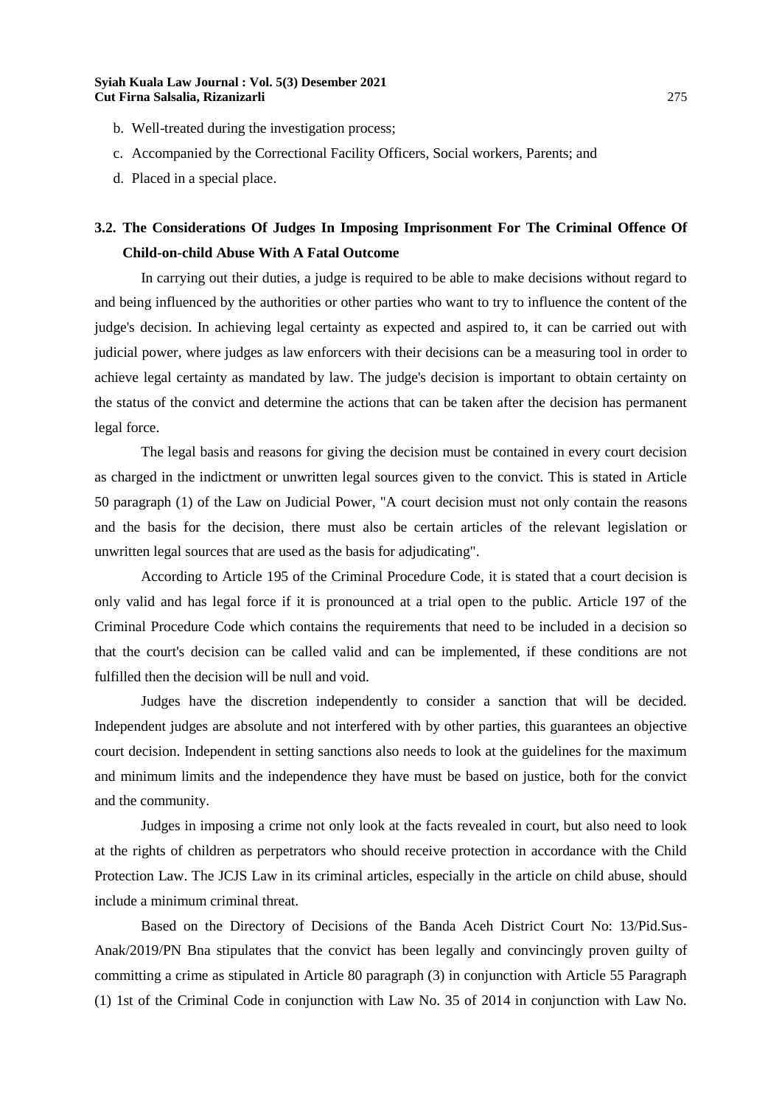- b. Well-treated during the investigation process;
- c. Accompanied by the Correctional Facility Officers, Social workers, Parents; and
- d. Placed in a special place.

# **3.2. The Considerations Of Judges In Imposing Imprisonment For The Criminal Offence Of Child-on-child Abuse With A Fatal Outcome**

In carrying out their duties, a judge is required to be able to make decisions without regard to and being influenced by the authorities or other parties who want to try to influence the content of the judge's decision. In achieving legal certainty as expected and aspired to, it can be carried out with judicial power, where judges as law enforcers with their decisions can be a measuring tool in order to achieve legal certainty as mandated by law. The judge's decision is important to obtain certainty on the status of the convict and determine the actions that can be taken after the decision has permanent legal force.

The legal basis and reasons for giving the decision must be contained in every court decision as charged in the indictment or unwritten legal sources given to the convict. This is stated in Article 50 paragraph (1) of the Law on Judicial Power, "A court decision must not only contain the reasons and the basis for the decision, there must also be certain articles of the relevant legislation or unwritten legal sources that are used as the basis for adjudicating".

According to Article 195 of the Criminal Procedure Code, it is stated that a court decision is only valid and has legal force if it is pronounced at a trial open to the public. Article 197 of the Criminal Procedure Code which contains the requirements that need to be included in a decision so that the court's decision can be called valid and can be implemented, if these conditions are not fulfilled then the decision will be null and void.

Judges have the discretion independently to consider a sanction that will be decided. Independent judges are absolute and not interfered with by other parties, this guarantees an objective court decision. Independent in setting sanctions also needs to look at the guidelines for the maximum and minimum limits and the independence they have must be based on justice, both for the convict and the community.

Judges in imposing a crime not only look at the facts revealed in court, but also need to look at the rights of children as perpetrators who should receive protection in accordance with the Child Protection Law. The JCJS Law in its criminal articles, especially in the article on child abuse, should include a minimum criminal threat.

Based on the Directory of Decisions of the Banda Aceh District Court No: 13/Pid.Sus-Anak/2019/PN Bna stipulates that the convict has been legally and convincingly proven guilty of committing a crime as stipulated in Article 80 paragraph (3) in conjunction with Article 55 Paragraph (1) 1st of the Criminal Code in conjunction with Law No. 35 of 2014 in conjunction with Law No.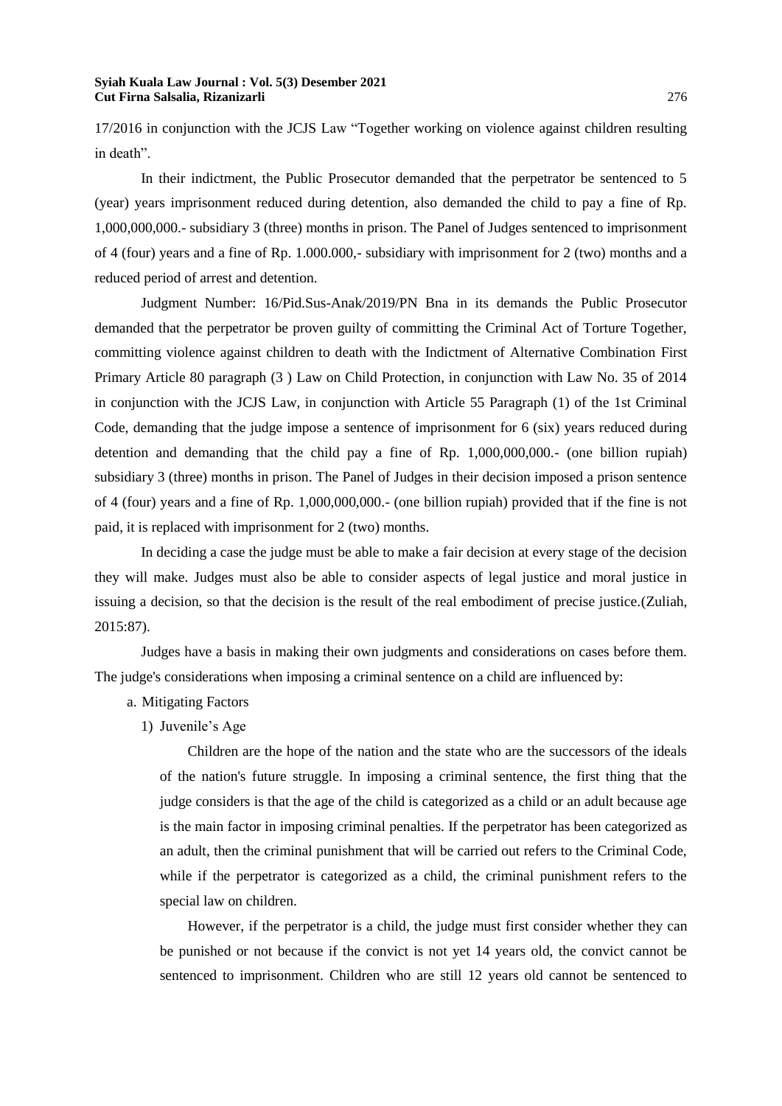17/2016 in conjunction with the JCJS Law "Together working on violence against children resulting in death".

In their indictment, the Public Prosecutor demanded that the perpetrator be sentenced to 5 (year) years imprisonment reduced during detention, also demanded the child to pay a fine of Rp. 1,000,000,000.- subsidiary 3 (three) months in prison. The Panel of Judges sentenced to imprisonment of 4 (four) years and a fine of Rp. 1.000.000,- subsidiary with imprisonment for 2 (two) months and a reduced period of arrest and detention.

Judgment Number: 16/Pid.Sus-Anak/2019/PN Bna in its demands the Public Prosecutor demanded that the perpetrator be proven guilty of committing the Criminal Act of Torture Together, committing violence against children to death with the Indictment of Alternative Combination First Primary Article 80 paragraph (3 ) Law on Child Protection, in conjunction with Law No. 35 of 2014 in conjunction with the JCJS Law, in conjunction with Article 55 Paragraph (1) of the 1st Criminal Code, demanding that the judge impose a sentence of imprisonment for 6 (six) years reduced during detention and demanding that the child pay a fine of Rp. 1,000,000,000.- (one billion rupiah) subsidiary 3 (three) months in prison. The Panel of Judges in their decision imposed a prison sentence of 4 (four) years and a fine of Rp. 1,000,000,000.- (one billion rupiah) provided that if the fine is not paid, it is replaced with imprisonment for 2 (two) months.

In deciding a case the judge must be able to make a fair decision at every stage of the decision they will make. Judges must also be able to consider aspects of legal justice and moral justice in issuing a decision, so that the decision is the result of the real embodiment of precise justice.(Zuliah, 2015:87).

Judges have a basis in making their own judgments and considerations on cases before them. The judge's considerations when imposing a criminal sentence on a child are influenced by:

a. Mitigating Factors

1) Juvenile's Age

Children are the hope of the nation and the state who are the successors of the ideals of the nation's future struggle. In imposing a criminal sentence, the first thing that the judge considers is that the age of the child is categorized as a child or an adult because age is the main factor in imposing criminal penalties. If the perpetrator has been categorized as an adult, then the criminal punishment that will be carried out refers to the Criminal Code, while if the perpetrator is categorized as a child, the criminal punishment refers to the special law on children.

However, if the perpetrator is a child, the judge must first consider whether they can be punished or not because if the convict is not yet 14 years old, the convict cannot be sentenced to imprisonment. Children who are still 12 years old cannot be sentenced to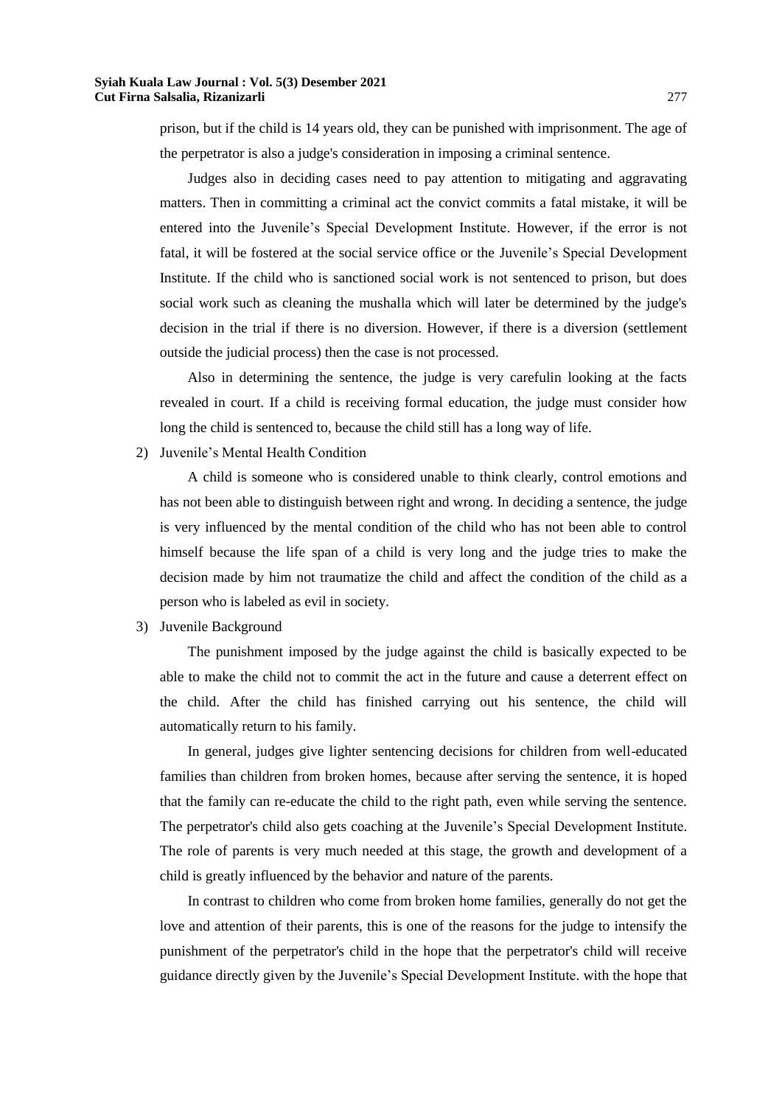prison, but if the child is 14 years old, they can be punished with imprisonment. The age of the perpetrator is also a judge's consideration in imposing a criminal sentence.

Judges also in deciding cases need to pay attention to mitigating and aggravating matters. Then in committing a criminal act the convict commits a fatal mistake, it will be entered into the Juvenile's Special Development Institute. However, if the error is not fatal, it will be fostered at the social service office or the Juvenile's Special Development Institute. If the child who is sanctioned social work is not sentenced to prison, but does social work such as cleaning the mushalla which will later be determined by the judge's decision in the trial if there is no diversion. However, if there is a diversion (settlement outside the judicial process) then the case is not processed.

Also in determining the sentence, the judge is very carefulin looking at the facts revealed in court. If a child is receiving formal education, the judge must consider how long the child is sentenced to, because the child still has a long way of life.

2) Juvenile's Mental Health Condition

A child is someone who is considered unable to think clearly, control emotions and has not been able to distinguish between right and wrong. In deciding a sentence, the judge is very influenced by the mental condition of the child who has not been able to control himself because the life span of a child is very long and the judge tries to make the decision made by him not traumatize the child and affect the condition of the child as a person who is labeled as evil in society.

3) Juvenile Background

The punishment imposed by the judge against the child is basically expected to be able to make the child not to commit the act in the future and cause a deterrent effect on the child. After the child has finished carrying out his sentence, the child will automatically return to his family.

In general, judges give lighter sentencing decisions for children from well-educated families than children from broken homes, because after serving the sentence, it is hoped that the family can re-educate the child to the right path, even while serving the sentence. The perpetrator's child also gets coaching at the Juvenile's Special Development Institute. The role of parents is very much needed at this stage, the growth and development of a child is greatly influenced by the behavior and nature of the parents.

In contrast to children who come from broken home families, generally do not get the love and attention of their parents, this is one of the reasons for the judge to intensify the punishment of the perpetrator's child in the hope that the perpetrator's child will receive guidance directly given by the Juvenile's Special Development Institute. with the hope that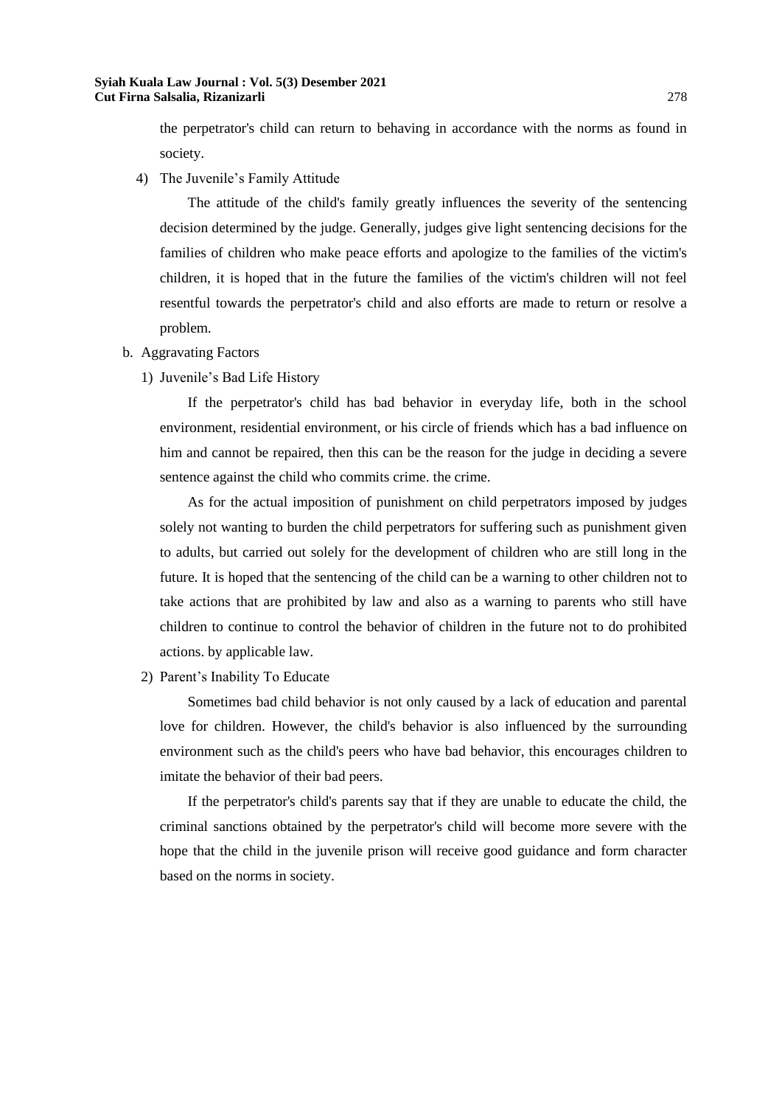the perpetrator's child can return to behaving in accordance with the norms as found in society.

4) The Juvenile's Family Attitude

The attitude of the child's family greatly influences the severity of the sentencing decision determined by the judge. Generally, judges give light sentencing decisions for the families of children who make peace efforts and apologize to the families of the victim's children, it is hoped that in the future the families of the victim's children will not feel resentful towards the perpetrator's child and also efforts are made to return or resolve a problem.

- b. Aggravating Factors
	- 1) Juvenile's Bad Life History

If the perpetrator's child has bad behavior in everyday life, both in the school environment, residential environment, or his circle of friends which has a bad influence on him and cannot be repaired, then this can be the reason for the judge in deciding a severe sentence against the child who commits crime. the crime.

As for the actual imposition of punishment on child perpetrators imposed by judges solely not wanting to burden the child perpetrators for suffering such as punishment given to adults, but carried out solely for the development of children who are still long in the future. It is hoped that the sentencing of the child can be a warning to other children not to take actions that are prohibited by law and also as a warning to parents who still have children to continue to control the behavior of children in the future not to do prohibited actions. by applicable law.

2) Parent's Inability To Educate

Sometimes bad child behavior is not only caused by a lack of education and parental love for children. However, the child's behavior is also influenced by the surrounding environment such as the child's peers who have bad behavior, this encourages children to imitate the behavior of their bad peers.

If the perpetrator's child's parents say that if they are unable to educate the child, the criminal sanctions obtained by the perpetrator's child will become more severe with the hope that the child in the juvenile prison will receive good guidance and form character based on the norms in society.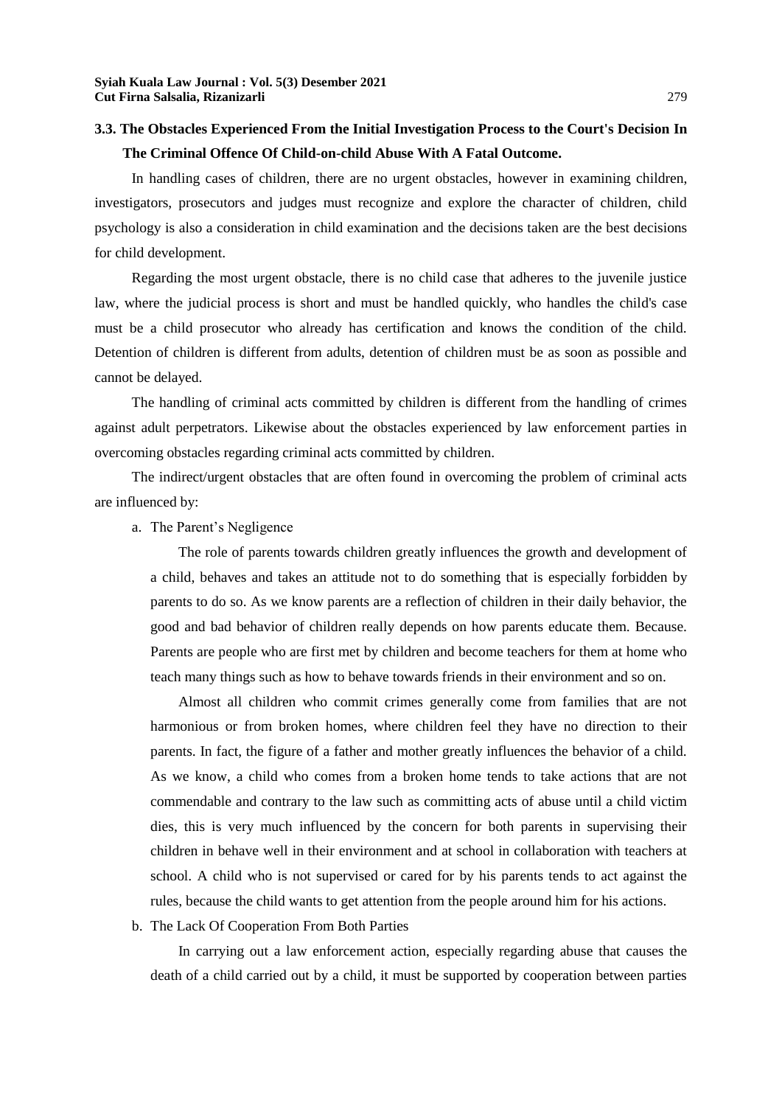# **3.3. The Obstacles Experienced From the Initial Investigation Process to the Court's Decision In The Criminal Offence Of Child-on-child Abuse With A Fatal Outcome.**

In handling cases of children, there are no urgent obstacles, however in examining children, investigators, prosecutors and judges must recognize and explore the character of children, child psychology is also a consideration in child examination and the decisions taken are the best decisions for child development.

Regarding the most urgent obstacle, there is no child case that adheres to the juvenile justice law, where the judicial process is short and must be handled quickly, who handles the child's case must be a child prosecutor who already has certification and knows the condition of the child. Detention of children is different from adults, detention of children must be as soon as possible and cannot be delayed.

The handling of criminal acts committed by children is different from the handling of crimes against adult perpetrators. Likewise about the obstacles experienced by law enforcement parties in overcoming obstacles regarding criminal acts committed by children.

The indirect/urgent obstacles that are often found in overcoming the problem of criminal acts are influenced by:

a. The Parent's Negligence

The role of parents towards children greatly influences the growth and development of a child, behaves and takes an attitude not to do something that is especially forbidden by parents to do so. As we know parents are a reflection of children in their daily behavior, the good and bad behavior of children really depends on how parents educate them. Because. Parents are people who are first met by children and become teachers for them at home who teach many things such as how to behave towards friends in their environment and so on.

Almost all children who commit crimes generally come from families that are not harmonious or from broken homes, where children feel they have no direction to their parents. In fact, the figure of a father and mother greatly influences the behavior of a child. As we know, a child who comes from a broken home tends to take actions that are not commendable and contrary to the law such as committing acts of abuse until a child victim dies, this is very much influenced by the concern for both parents in supervising their children in behave well in their environment and at school in collaboration with teachers at school. A child who is not supervised or cared for by his parents tends to act against the rules, because the child wants to get attention from the people around him for his actions.

b. The Lack Of Cooperation From Both Parties

In carrying out a law enforcement action, especially regarding abuse that causes the death of a child carried out by a child, it must be supported by cooperation between parties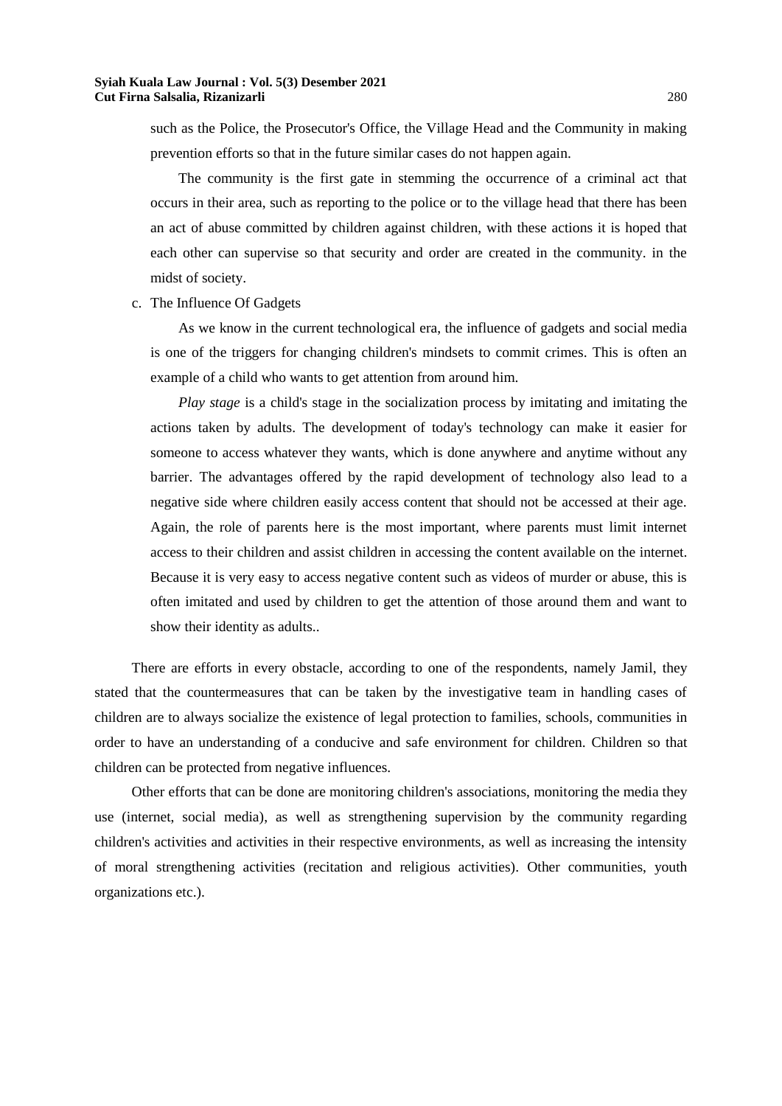such as the Police, the Prosecutor's Office, the Village Head and the Community in making prevention efforts so that in the future similar cases do not happen again.

The community is the first gate in stemming the occurrence of a criminal act that occurs in their area, such as reporting to the police or to the village head that there has been an act of abuse committed by children against children, with these actions it is hoped that each other can supervise so that security and order are created in the community. in the midst of society.

c. The Influence Of Gadgets

As we know in the current technological era, the influence of gadgets and social media is one of the triggers for changing children's mindsets to commit crimes. This is often an example of a child who wants to get attention from around him.

*Play stage* is a child's stage in the socialization process by imitating and imitating the actions taken by adults. The development of today's technology can make it easier for someone to access whatever they wants, which is done anywhere and anytime without any barrier. The advantages offered by the rapid development of technology also lead to a negative side where children easily access content that should not be accessed at their age. Again, the role of parents here is the most important, where parents must limit internet access to their children and assist children in accessing the content available on the internet. Because it is very easy to access negative content such as videos of murder or abuse, this is often imitated and used by children to get the attention of those around them and want to show their identity as adults..

There are efforts in every obstacle, according to one of the respondents, namely Jamil, they stated that the countermeasures that can be taken by the investigative team in handling cases of children are to always socialize the existence of legal protection to families, schools, communities in order to have an understanding of a conducive and safe environment for children. Children so that children can be protected from negative influences.

Other efforts that can be done are monitoring children's associations, monitoring the media they use (internet, social media), as well as strengthening supervision by the community regarding children's activities and activities in their respective environments, as well as increasing the intensity of moral strengthening activities (recitation and religious activities). Other communities, youth organizations etc.).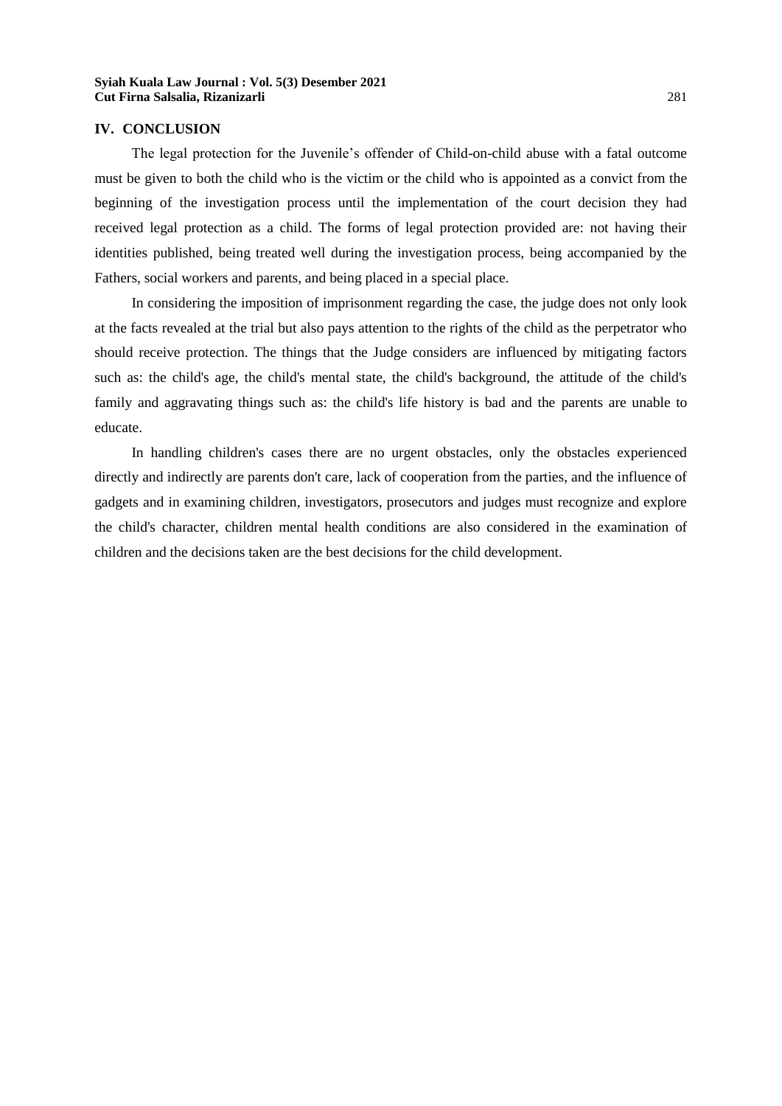#### **IV. CONCLUSION**

The legal protection for the Juvenile's offender of Child-on-child abuse with a fatal outcome must be given to both the child who is the victim or the child who is appointed as a convict from the beginning of the investigation process until the implementation of the court decision they had received legal protection as a child. The forms of legal protection provided are: not having their identities published, being treated well during the investigation process, being accompanied by the Fathers, social workers and parents, and being placed in a special place.

In considering the imposition of imprisonment regarding the case, the judge does not only look at the facts revealed at the trial but also pays attention to the rights of the child as the perpetrator who should receive protection. The things that the Judge considers are influenced by mitigating factors such as: the child's age, the child's mental state, the child's background, the attitude of the child's family and aggravating things such as: the child's life history is bad and the parents are unable to educate.

In handling children's cases there are no urgent obstacles, only the obstacles experienced directly and indirectly are parents don't care, lack of cooperation from the parties, and the influence of gadgets and in examining children, investigators, prosecutors and judges must recognize and explore the child's character, children mental health conditions are also considered in the examination of children and the decisions taken are the best decisions for the child development.